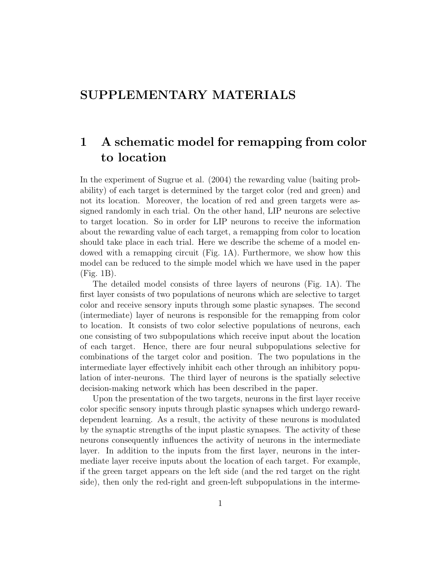## SUPPLEMENTARY MATERIALS

## 1 A schematic model for remapping from color to location

In the experiment of Sugrue et al. (2004) the rewarding value (baiting probability) of each target is determined by the target color (red and green) and not its location. Moreover, the location of red and green targets were assigned randomly in each trial. On the other hand, LIP neurons are selective to target location. So in order for LIP neurons to receive the information about the rewarding value of each target, a remapping from color to location should take place in each trial. Here we describe the scheme of a model endowed with a remapping circuit (Fig. 1A). Furthermore, we show how this model can be reduced to the simple model which we have used in the paper (Fig. 1B).

The detailed model consists of three layers of neurons (Fig. 1A). The first layer consists of two populations of neurons which are selective to target color and receive sensory inputs through some plastic synapses. The second (intermediate) layer of neurons is responsible for the remapping from color to location. It consists of two color selective populations of neurons, each one consisting of two subpopulations which receive input about the location of each target. Hence, there are four neural subpopulations selective for combinations of the target color and position. The two populations in the intermediate layer effectively inhibit each other through an inhibitory population of inter-neurons. The third layer of neurons is the spatially selective decision-making network which has been described in the paper.

Upon the presentation of the two targets, neurons in the first layer receive color specific sensory inputs through plastic synapses which undergo rewarddependent learning. As a result, the activity of these neurons is modulated by the synaptic strengths of the input plastic synapses. The activity of these neurons consequently influences the activity of neurons in the intermediate layer. In addition to the inputs from the first layer, neurons in the intermediate layer receive inputs about the location of each target. For example, if the green target appears on the left side (and the red target on the right side), then only the red-right and green-left subpopulations in the interme-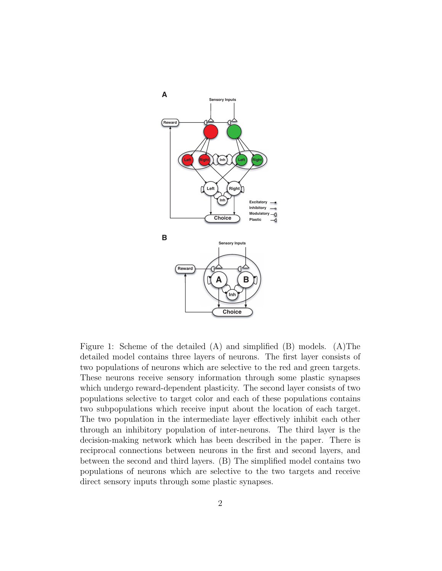

Figure 1: Scheme of the detailed  $(A)$  and simplified  $(B)$  models.  $(A)$ The detailed model contains three layers of neurons. The first layer consists of two populations of neurons which are selective to the red and green targets. These neurons receive sensory information through some plastic synapses which undergo reward-dependent plasticity. The second layer consists of two populations selective to target color and each of these populations contains two subpopulations which receive input about the location of each target. The two population in the intermediate layer effectively inhibit each other through an inhibitory population of inter-neurons. The third layer is the decision-making network which has been described in the paper. There is reciprocal connections between neurons in the first and second layers, and between the second and third layers. (B) The simplified model contains two populations of neurons which are selective to the two targets and receive direct sensory inputs through some plastic synapses.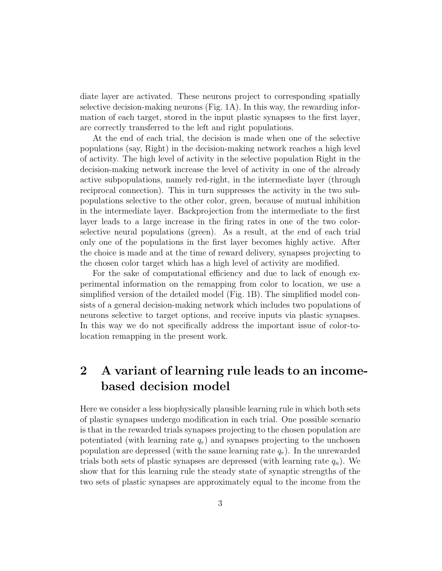diate layer are activated. These neurons project to corresponding spatially selective decision-making neurons (Fig. 1A). In this way, the rewarding information of each target, stored in the input plastic synapses to the first layer, are correctly transferred to the left and right populations.

At the end of each trial, the decision is made when one of the selective populations (say, Right) in the decision-making network reaches a high level of activity. The high level of activity in the selective population Right in the decision-making network increase the level of activity in one of the already active subpopulations, namely red-right, in the intermediate layer (through reciprocal connection). This in turn suppresses the activity in the two subpopulations selective to the other color, green, because of mutual inhibition in the intermediate layer. Backprojection from the intermediate to the first layer leads to a large increase in the firing rates in one of the two colorselective neural populations (green). As a result, at the end of each trial only one of the populations in the first layer becomes highly active. After the choice is made and at the time of reward delivery, synapses projecting to the chosen color target which has a high level of activity are modified.

For the sake of computational efficiency and due to lack of enough experimental information on the remapping from color to location, we use a simplified version of the detailed model (Fig. 1B). The simplified model consists of a general decision-making network which includes two populations of neurons selective to target options, and receive inputs via plastic synapses. In this way we do not specifically address the important issue of color-tolocation remapping in the present work.

## 2 A variant of learning rule leads to an incomebased decision model

Here we consider a less biophysically plausible learning rule in which both sets of plastic synapses undergo modification in each trial. One possible scenario is that in the rewarded trials synapses projecting to the chosen population are potentiated (with learning rate  $q_r$ ) and synapses projecting to the unchosen population are depressed (with the same learning rate  $q_r$ ). In the unrewarded trials both sets of plastic synapses are depressed (with learning rate  $q_n$ ). We show that for this learning rule the steady state of synaptic strengths of the two sets of plastic synapses are approximately equal to the income from the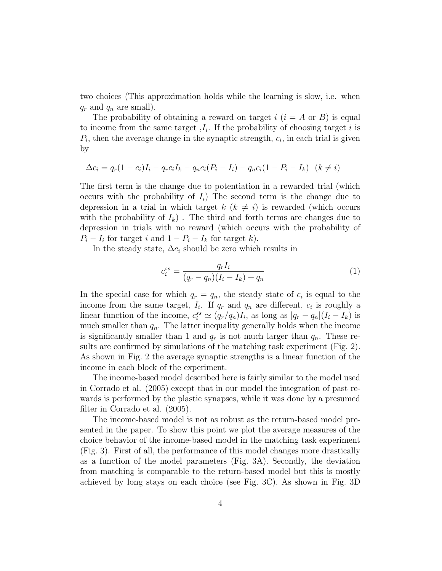two choices (This approximation holds while the learning is slow, i.e. when  $q_r$  and  $q_n$  are small).

The probability of obtaining a reward on target  $i$   $(i = A \text{ or } B)$  is equal to income from the same target  $I_i$ . If the probability of choosing target i is  $P_i$ , then the average change in the synaptic strength,  $c_i$ , in each trial is given by

$$
\Delta c_i = q_r (1 - c_i) I_i - q_r c_i I_k - q_n c_i (P_i - I_i) - q_n c_i (1 - P_i - I_k) \quad (k \neq i)
$$

The first term is the change due to potentiation in a rewarded trial (which occurs with the probability of  $I_i$ ) The second term is the change due to depression in a trial in which target  $k$  ( $k \neq i$ ) is rewarded (which occurs with the probability of  $I_k$ ). The third and forth terms are changes due to depression in trials with no reward (which occurs with the probability of  $P_i - I_i$  for target i and  $1 - P_i - I_k$  for target k).

In the steady state,  $\Delta c_i$  should be zero which results in

$$
c_i^{ss} = \frac{q_r I_i}{(q_r - q_n)(I_i - I_k) + q_n} \tag{1}
$$

In the special case for which  $q_r = q_n$ , the steady state of  $c_i$  is equal to the income from the same target,  $I_i$ . If  $q_r$  and  $q_n$  are different,  $c_i$  is roughly a linear function of the income,  $c_i^{ss} \simeq (q_r/q_n)I_i$ , as long as  $|q_r - q_n|(I_i - I_k)$  is much smaller than  $q_n$ . The latter inequality generally holds when the income is significantly smaller than 1 and  $q_r$  is not much larger than  $q_n$ . These results are confirmed by simulations of the matching task experiment (Fig. 2). As shown in Fig. 2 the average synaptic strengths is a linear function of the income in each block of the experiment.

The income-based model described here is fairly similar to the model used in Corrado et al. (2005) except that in our model the integration of past rewards is performed by the plastic synapses, while it was done by a presumed filter in Corrado et al. (2005).

The income-based model is not as robust as the return-based model presented in the paper. To show this point we plot the average measures of the choice behavior of the income-based model in the matching task experiment (Fig. 3). First of all, the performance of this model changes more drastically as a function of the model parameters (Fig. 3A). Secondly, the deviation from matching is comparable to the return-based model but this is mostly achieved by long stays on each choice (see Fig. 3C). As shown in Fig. 3D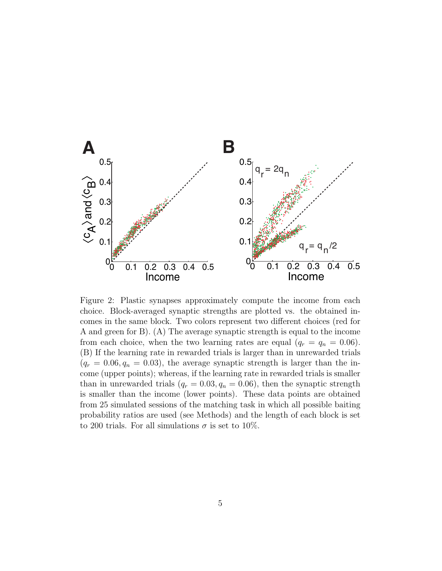

Figure 2: Plastic synapses approximately compute the income from each choice. Block-averaged synaptic strengths are plotted vs. the obtained incomes in the same block. Two colors represent two different choices (red for A and green for B). (A) The average synaptic strength is equal to the income from each choice, when the two learning rates are equal  $(q_r = q_n = 0.06)$ . (B) If the learning rate in rewarded trials is larger than in unrewarded trials  $(q_r = 0.06, q_n = 0.03)$ , the average synaptic strength is larger than the income (upper points); whereas, if the learning rate in rewarded trials is smaller than in unrewarded trials  $(q_r = 0.03, q_n = 0.06)$ , then the synaptic strength is smaller than the income (lower points). These data points are obtained from 25 simulated sessions of the matching task in which all possible baiting probability ratios are used (see Methods) and the length of each block is set to 200 trials. For all simulations  $\sigma$  is set to 10%.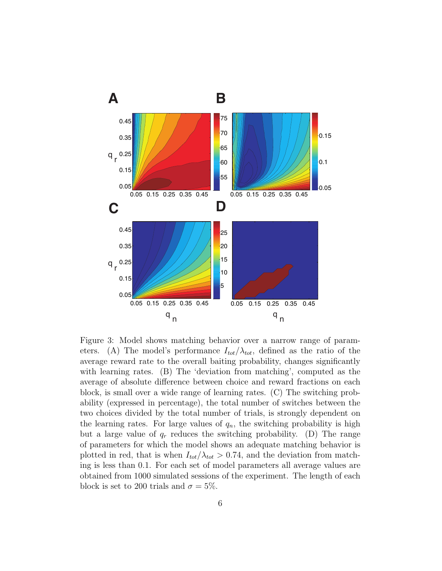

Figure 3: Model shows matching behavior over a narrow range of parameters. (A) The model's performance  $I_{tot}/\lambda_{tot}$ , defined as the ratio of the average reward rate to the overall baiting probability, changes significantly with learning rates. (B) The 'deviation from matching', computed as the average of absolute difference between choice and reward fractions on each block, is small over a wide range of learning rates. (C) The switching probability (expressed in percentage), the total number of switches between the two choices divided by the total number of trials, is strongly dependent on the learning rates. For large values of  $q_n$ , the switching probability is high but a large value of  $q_r$  reduces the switching probability. (D) The range of parameters for which the model shows an adequate matching behavior is plotted in red, that is when  $I_{tot}/\lambda_{tot} > 0.74$ , and the deviation from matching is less than 0.1. For each set of model parameters all average values are obtained from 1000 simulated sessions of the experiment. The length of each block is set to 200 trials and  $\sigma = 5\%$ .